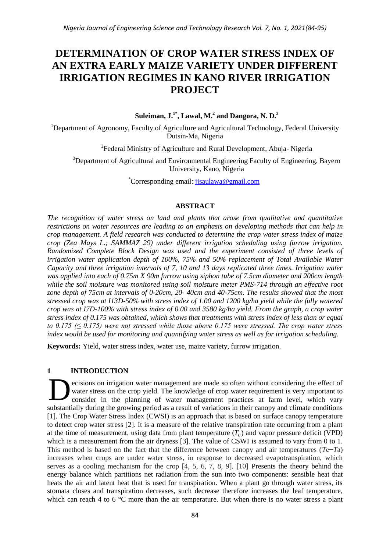# **DETERMINATION OF CROP WATER STRESS INDEX OF AN EXTRA EARLY MAIZE VARIETY UNDER DIFFERENT IRRIGATION REGIMES IN KANO RIVER IRRIGATION PROJECT**

**Suleiman, J.1\*, Lawal, M.<sup>2</sup> and Dangora, N. D.<sup>3</sup>**

<sup>1</sup>Department of Agronomy, Faculty of Agriculture and Agricultural Technology, Federal University Dutsin-Ma, Nigeria

<sup>2</sup> Federal Ministry of Agriculture and Rural Development, Abuja-Nigeria

<sup>3</sup>Department of Agricultural and Environmental Engineering Faculty of Engineering, Bayero University, Kano, Nigeria

\*Corresponding email: [jjsaulawa@gmail.com](mailto:jjsaulawa@gmail.com)

# **ABSTRACT**

*The recognition of water stress on land and plants that arose from qualitative and quantitative restrictions on water resources are leading to an emphasis on developing methods that can help in crop management. A field research was conducted to determine the crop water stress index of maize crop (Zea Mays L.; SAMMAZ 29) under different irrigation scheduling using furrow irrigation. Randomized Complete Block Design was used and the experiment consisted of three levels of irrigation water application depth of 100%, 75% and 50% replacement of Total Available Water Capacity and three irrigation intervals of 7, 10 and 13 days replicated three times. Irrigation water was applied into each of 0.75m X 90m furrow using siphon tube of 7.5cm diameter and 200cm length while the soil moisture was monitored using soil moisture meter PMS-714 through an effective root zone depth of 75cm at intervals of 0-20cm, 20- 40cm and 40-75cm. The results showed that the most stressed crop was at I13D-50% with stress index of 1.00 and 1200 kg/ha yield while the fully watered crop was at I7D-100% with stress index of 0.00 and 3580 kg/ha yield. From the graph, a crop water stress index of 0.175 was obtained, which shows that treatments with stress index of less than or equal to 0.175 (≤ 0.175) were not stressed while those above 0.175 were stressed. The crop water stress index would be used for monitoring and quantifying water stress as well as for irrigation scheduling.*

**Keywords:** Yield, water stress index, water use, maize variety, furrow irrigation.

# **1 INTRODUCTION**

ecisions on irrigation water management are made so often without considering the effect of water stress on the crop yield. The knowledge of crop water requirement is very important to consider in the planning of water management practices at farm level, which vary substantially during the growing period as a result of variations in their canopy and climate conditions [1]. The Crop Water Stress Index (CWSI) is an approach that is based on surface canopy temperature to detect crop water stress [2]. It is a measure of the relative transpiration rate occurring from a plant at the time of measurement, using data from plant temperature  $(T_c)$  and vapor pressure deficit (VPD) which is a measurement from the air dryness [3]. The value of CSWI is assumed to vary from 0 to 1. This method is based on the fact that the difference between canopy and air temperatures (*T*c−*T*a) increases when crops are under water stress, in response to decreased evapotranspiration, which serves as a cooling mechanism for the crop [4, 5, 6, 7, 8, 9]. [10] Presents the theory behind the energy balance which partitions net radiation from the sun into two components: sensible heat that heats the air and latent heat that is used for transpiration. When a plant go through water stress, its stomata closes and transpiration decreases, such decrease therefore increases the leaf temperature, which can reach 4 to 6  $\degree$ C more than the air temperature. But when there is no water stress a plant D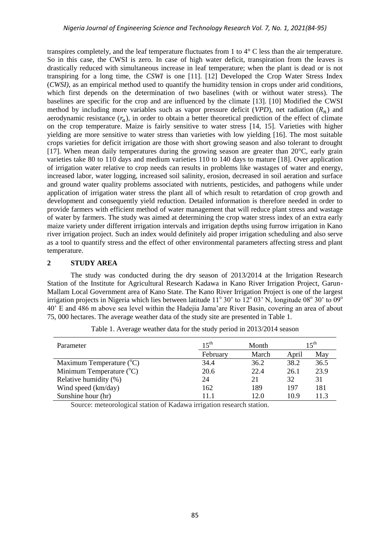transpires completely, and the leaf temperature fluctuates from 1 to 4° C less than the air temperature. So in this case, the CWSI is zero. In case of high water deficit, transpiration from the leaves is drastically reduced with simultaneous increase in leaf temperature; when the plant is dead or is not transpiring for a long time, the *CSWI* is one [11]. [12] Developed the Crop Water Stress Index (*CWSI)*, as an empirical method used to quantify the humidity tension in crops under arid conditions, which first depends on the determination of two baselines (with or without water stress). The baselines are specific for the crop and are influenced by the climate [13]. [10] Modified the CWSI method by including more variables such as vapor pressure deficit ( $VPD$ ), net radiation ( $R_n$ ) and aerodynamic resistance  $(r_a)$ , in order to obtain a better theoretical prediction of the effect of climate on the crop temperature. Maize is fairly sensitive to water stress [14, 15]. Varieties with higher yielding are more sensitive to water stress than varieties with low yielding [16]. The most suitable crops varieties for deficit irrigation are those with short growing season and also tolerant to drought [17]. When mean daily temperatures during the growing season are greater than 20°C, early grain varieties take 80 to 110 days and medium varieties 110 to 140 days to mature [18]. Over application of irrigation water relative to crop needs can results in problems like wastages of water and energy, increased labor, water logging, increased soil salinity, erosion, decreased in soil aeration and surface and ground water quality problems associated with nutrients, pesticides, and pathogens while under application of irrigation water stress the plant all of which result to retardation of crop growth and development and consequently yield reduction. Detailed information is therefore needed in order to provide farmers with efficient method of water management that will reduce plant stress and wastage of water by farmers. The study was aimed at determining the crop water stress index of an extra early maize variety under different irrigation intervals and irrigation depths using furrow irrigation in Kano river irrigation project. Such an index would definitely aid proper irrigation scheduling and also serve as a tool to quantify stress and the effect of other environmental parameters affecting stress and plant temperature.

# **2 STUDY AREA**

The study was conducted during the dry season of 2013/2014 at the Irrigation Research Station of the Institute for Agricultural Research Kadawa in Kano River Irrigation Project, Garun-Mallam Local Government area of Kano State. The Kano River Irrigation Project is one of the largest irrigation projects in Nigeria which lies between latitude  $11^{\circ}$  30' to  $12^{\circ}$  03' N, longitude 08 $^{\circ}$  30' to 09 $^{\circ}$ 40' E and 486 m above sea level within the Hadejia Jama'are River Basin, covering an area of about 75, 000 hectares. The average weather data of the study site are presented in Table 1.

| Parameter                           | $15^{\text{th}}$ | Month |       | $15^{\text{th}}$ |
|-------------------------------------|------------------|-------|-------|------------------|
|                                     | February         | March | April | May              |
| Maximum Temperature $({}^{\circ}C)$ | 34.4             | 36.2  | 38.2  | 36.5             |
| Minimum Temperature $({}^{\circ}C)$ | 20.6             | 22.4  | 26.1  | 23.9             |
| Relative humidity (%)               | 24               | 21    | 32    | 31               |
| Wind speed (km/day)                 | 162              | 189   | 197   | 181              |
| Sunshine hour (hr)                  | 111              | 12.0  | 10.9  |                  |

Table 1. Average weather data for the study period in 2013/2014 season

Source: meteorological station of Kadawa irrigation research station.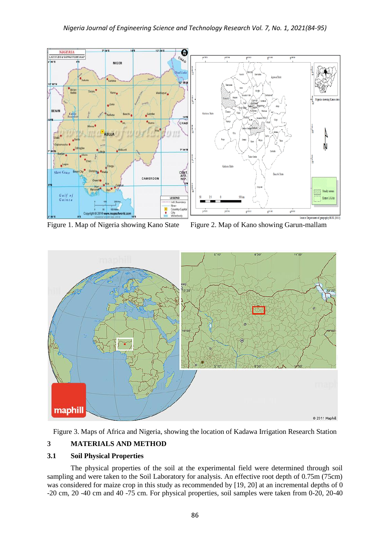

Figure 1. Map of Nigeria showing Kano State Figure 2. Map of Kano showing Garun-mallam



Figure 3. Maps of Africa and Nigeria, showing the location of Kadawa Irrigation Research Station

# **3 MATERIALS AND METHOD**

# **3.1 Soil Physical Properties**

The physical properties of the soil at the experimental field were determined through soil sampling and were taken to the Soil Laboratory for analysis. An effective root depth of 0.75m (75cm) was considered for maize crop in this study as recommended by [19, 20] at an incremental depths of 0 -20 cm, 20 -40 cm and 40 -75 cm. For physical properties, soil samples were taken from 0-20, 20-40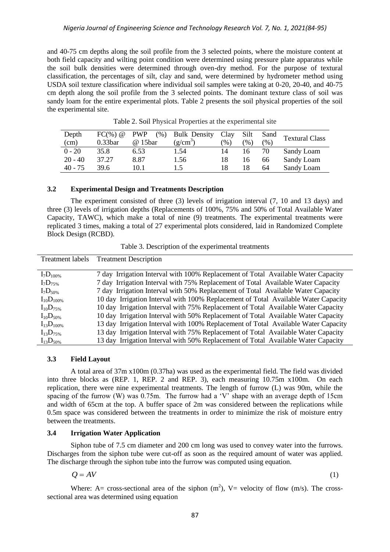and 40-75 cm depths along the soil profile from the 3 selected points, where the moisture content at both field capacity and wilting point condition were determined using pressure plate apparatus while the soil bulk densities were determined through oven-dry method. For the purpose of textural classification, the percentages of silt, clay and sand, were determined by hydrometer method using USDA soil texture classification where individual soil samples were taking at 0-20, 20-40, and 40-75 cm depth along the soil profile from the 3 selected points. The dominant texture class of soil was sandy loam for the entire experimental plots. Table 2 presents the soil physical properties of the soil the experimental site.

| Depth     | $FC(\%) @$          | <b>PWP</b><br>(% ) | <b>Bulk Density</b> | Clay | Silt | Sand | <b>Textural Class</b> |
|-----------|---------------------|--------------------|---------------------|------|------|------|-----------------------|
| (cm)      | 0.33 <sub>bar</sub> | @ 15bar            | $(g/cm^3)$          | (%)  | (%)  | (% ) |                       |
| $0 - 20$  | 35.8                | 6.53               | 1.54                | 14   | 16   | 70   | Sandy Loam            |
| $20 - 40$ | 37.27               | 8.87               | 1.56                | 18   | 16   | 66   | Sandy Loam            |
| $40 - 75$ | 39.6                | 10.1               | 1.5                 | 18   |      | 64   | Sandy Loam            |

Table 2. Soil Physical Properties at the experimental site

## **3.2 Experimental Design and Treatments Description**

The experiment consisted of three (3) levels of irrigation interval (7, 10 and 13 days) and three (3) levels of irrigation depths (Replacements of 100%, 75% and 50% of Total Available Water Capacity, TAWC), which make a total of nine (9) treatments. The experimental treatments were replicated 3 times, making a total of 27 experimental plots considered, laid in Randomized Complete Block Design (RCBD).

|  |  | Table 3. Description of the experimental treatments |  |
|--|--|-----------------------------------------------------|--|
|  |  |                                                     |  |

| Treatment labels  | <b>Treatment Description</b>                                                       |
|-------------------|------------------------------------------------------------------------------------|
|                   |                                                                                    |
| $I_7D_{100\%}$    | 7 day Irrigation Interval with 100% Replacement of Total Available Water Capacity  |
| $I_7D_{75\%}$     | 7 day Irrigation Interval with 75% Replacement of Total Available Water Capacity   |
| $I_7D_{50\%}$     | 7 day Irrigation Interval with 50% Replacement of Total Available Water Capacity   |
| $I_{10}D_{100\%}$ | 10 day Irrigation Interval with 100% Replacement of Total Available Water Capacity |
| $I_{10}D_{75\%}$  | 10 day Irrigation Interval with 75% Replacement of Total Available Water Capacity  |
| $I_{10}D_{50\%}$  | 10 day Irrigation Interval with 50% Replacement of Total Available Water Capacity  |
| $I_{13}D_{100\%}$ | 13 day Irrigation Interval with 100% Replacement of Total Available Water Capacity |
| $I_{13}D_{75\%}$  | 13 day Irrigation Interval with 75% Replacement of Total Available Water Capacity  |
| $I_{13}D_{50\%}$  | 13 day Irrigation Interval with 50% Replacement of Total Available Water Capacity  |

### **3.3 Field Layout**

A total area of 37m x100m (0.37ha) was used as the experimental field. The field was divided into three blocks as (REP. 1, REP. 2 and REP. 3), each measuring 10.75m x100m. On each replication, there were nine experimental treatments. The length of furrow (L) was 90m, while the spacing of the furrow (W) was 0.75m. The furrow had a 'V' shape with an average depth of 15cm and width of 65cm at the top. A buffer space of 2m was considered between the replications while 0.5m space was considered between the treatments in order to minimize the risk of moisture entry between the treatments.

#### **3.4 Irrigation Water Application**

Siphon tube of 7.5 cm diameter and 200 cm long was used to convey water into the furrows. Discharges from the siphon tube were cut-off as soon as the required amount of water was applied. The discharge through the siphon tube into the furrow was computed using equation.

$$
Q = AV \tag{1}
$$

Where: A= cross-sectional area of the siphon  $(m^2)$ , V= velocity of flow  $(m/s)$ . The crosssectional area was determined using equation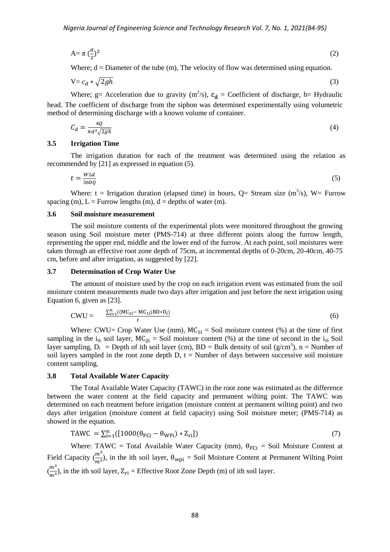$$
A = \pi \left(\frac{d}{2}\right)^2 \tag{2}
$$

Where;  $d =$  Diameter of the tube (m), The velocity of flow was determined using equation.

$$
V = c_d * \sqrt{2gh} \tag{3}
$$

Where; g= Acceleration due to gravity ( $m^2/s$ ),  $c_d$  = Coefficient of discharge, h= Hydraulic head. The coefficient of discharge from the siphon was determined experimentally using volumetric method of determining discharge with a known volume of container.

$$
C_d = \frac{4Q}{\pi d^2 \sqrt{2gh}}\tag{4}
$$

#### **3.5 Irrigation Time**

The irrigation duration for each of the treatment was determined using the relation as recommended by [21] as expressed in equation (5).

$$
t = \frac{W L d}{360Q} \tag{5}
$$

Where: t = Irrigation duration (elapsed time) in hours, Q= Stream size  $(m<sup>3</sup>/s)$ , W= Furrow spacing (m),  $L =$  Furrow lengths (m),  $d =$  depths of water (m).

# **3.6 Soil moisture measurement**

The soil moisture contents of the experimental plots were monitored throughout the growing season using Soil moisture meter (PMS-714) at three different points along the furrow length, representing the upper end, middle and the lower end of the furrow. At each point, soil moistures were taken through an effective root zone depth of 75cm, at incremental depths of 0-20cm, 20-40cm, 40-75 cm, before and after irrigation, as suggested by [22].

#### **3.7 Determination of Crop Water Use**

The amount of moisture used by the crop on each irrigation event was estimated from the soil moisture content measurements made two days after irrigation and just before the next irrigation using Equation 6, given as [23].

$$
CWU = \frac{\sum_{i=1}^{n} ((MC_{2i} - MC_{1i})BD*D_i)}{t}
$$
 (6)

Where: CWU= Crop Water Use (mm),  $MC_{1i} = Soil$  moisture content (%) at the time of first sampling in the i<sub>th</sub> soil layer,  $MC_{2i}$  = Soil moisture content (%) at the time of second in the i<sub>th</sub> Soil layer sampling,  $D_i$  = Depth of ith soil layer (cm), BD = Bulk density of soil (g/cm<sup>3</sup>), n = Number of soil layers sampled in the root zone depth D,  $t =$  Number of days between successive soil moisture content sampling.

# **3.8 Total Available Water Capacity**

The Total Available Water Capacity (TAWC) in the root zone was estimated as the difference between the water content at the field capacity and permanent wilting point. The TAWC was determined on each treatment before irrigation (moisture content at permanent wilting point) and two days after irrigation (moisture content at field capacity) using Soil moisture meter; (PMS-714) as showed in the equation.

$$
TAWC = \sum_{i=1}^{n} ([1000(\theta_{FCi} - \theta_{WPi}) * Z_{ri}])
$$
\n(7)

Where: TAWC = Total Available Water Capacity (mm),  $\theta_{FCi}$  = Soil Moisture Content at Field Capacity  $(\frac{m^3}{m^3})$ , in the ith soil layer,  $\theta_{\text{wpi}} =$  Soil Moisture Content at Permanent Wilting Point  $\binom{m}{n}$  $\frac{m}{m^3}$ ), in the ith soil layer,  $Z_{ri}$  = Effective Root Zone Depth (m) of ith soil layer.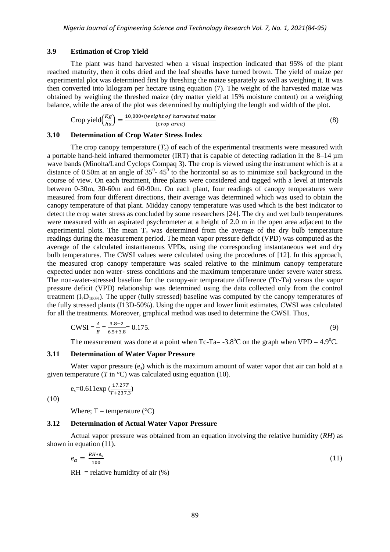#### **3.9 Estimation of Crop Yield**

The plant was hand harvested when a visual inspection indicated that 95% of the plant reached maturity, then it cobs dried and the leaf sheaths have turned brown. The yield of maize per experimental plot was determined first by threshing the maize separately as well as weighing it. It was then converted into kilogram per hectare using equation (7). The weight of the harvested maize was obtained by weighing the threshed maize (dry matter yield at 15% moisture content) on a weighing balance, while the area of the plot was determined by multiplying the length and width of the plot.

$$
Crop yield \left(\frac{Kg}{ha}\right) = \frac{10,000*(weight of harvested \, 2)}{(crop \, 2)}\tag{8}
$$

# **3.10 Determination of Crop Water Stress Index**

The crop canopy temperature  $(T_c)$  of each of the experimental treatments were measured with a portable hand-held infrared thermometer (IRT) that is capable of detecting radiation in the 8–14 µm wave bands (Minolta/Land Cyclops Compaq 3). The crop is viewed using the instrument which is at a distance of 0.50m at an angle of  $35^0$ -  $45^0$  to the horizontal so as to minimize soil background in the course of view. On each treatment, three plants were considered and tagged with a level at intervals between 0-30m, 30-60m and 60-90m. On each plant, four readings of canopy temperatures were measured from four different directions, their average was determined which was used to obtain the canopy temperature of that plant. Midday canopy temperature was used which is the best indicator to detect the crop water stress as concluded by some researchers [24]. The dry and wet bulb temperatures were measured with an aspirated psychrometer at a height of 2.0 m in the open area adjacent to the experimental plots. The mean  $T_a$  was determined from the average of the dry bulb temperature readings during the measurement period. The mean vapor pressure deficit (VPD) was computed as the average of the calculated instantaneous VPDs, using the corresponding instantaneous wet and dry bulb temperatures. The CWSI values were calculated using the procedures of [12]. In this approach, the measured crop canopy temperature was scaled relative to the minimum canopy temperature expected under non water- stress conditions and the maximum temperature under severe water stress. The non-water-stressed baseline for the canopy-air temperature difference (Tc-Ta) versus the vapor pressure deficit (VPD) relationship was determined using the data collected only from the control treatment  $(I_7D_{100\%})$ . The upper (fully stressed) baseline was computed by the canopy temperatures of the fully stressed plants (I13D-50%). Using the upper and lower limit estimates, CWSI was calculated for all the treatments. Moreover, graphical method was used to determine the CWSI. Thus,

$$
CWSI = \frac{A}{B} = \frac{3.8 - 2}{6.5 + 3.8} = 0.175.
$$
\n(9)

The measurement was done at a point when Tc-Ta= -3.8<sup>o</sup>C on the graph when VPD =  $4.9^{\circ}$ C.

#### **3.11 Determination of Water Vapor Pressure**

Water vapor pressure  $(e_s)$  which is the maximum amount of water vapor that air can hold at a given temperature ( $T$  in  $^{\circ}$ C) was calculated using equation (10).

$$
e_s = 0.611 \exp\left(\frac{17.27T}{T + 237.3}\right)
$$

(10)

Where;  $T =$  temperature ( ${}^{\circ}$ C)

# **3.12 Determination of Actual Water Vapor Pressure**

Actual vapor pressure was obtained from an equation involving the relative humidity (*RH*) as shown in equation (11).

$$
e_a = \frac{RH * e_s}{100} \tag{11}
$$

 $RH =$  relative humidity of air  $(\%)$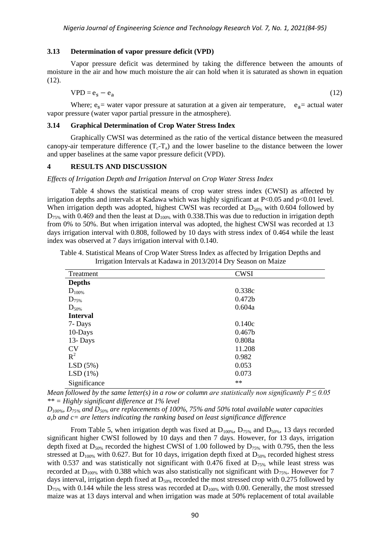#### **3.13 Determination of vapor pressure deficit (VPD)**

Vapor pressure deficit was determined by taking the difference between the amounts of moisture in the air and how much moisture the air can hold when it is saturated as shown in equation (12).

$$
VPD = e_s - e_a \tag{12}
$$

Where;  $e_s$  = water vapor pressure at saturation at a given air temperature,  $e_a$  = actual water vapor pressure (water vapor partial pressure in the atmosphere).

# **3.14 Graphical Determination of Crop Water Stress Index**

Graphically CWSI was determined as the ratio of the vertical distance between the measured canopy-air temperature difference  $(T_c-T_a)$  and the lower baseline to the distance between the lower and upper baselines at the same vapor pressure deficit (VPD).

#### **4 RESULTS AND DISCUSSION**

#### *Effects of Irrigation Depth and Irrigation Interval on Crop Water Stress Index*

Table 4 shows the statistical means of crop water stress index (CWSI) as affected by irrigation depths and intervals at Kadawa which was highly significant at  $P<0.05$  and  $p<0.01$  level. When irrigation depth was adopted, highest CWSI was recorded at  $D_{50\%}$  with 0.604 followed by  $D_{75\%}$  with 0.469 and then the least at  $D_{100\%}$  with 0.338. This was due to reduction in irrigation depth from 0% to 50%. But when irrigation interval was adopted, the highest CWSI was recorded at 13 days irrigation interval with 0.808, followed by 10 days with stress index of 0.464 while the least index was observed at 7 days irrigation interval with 0.140.

| Treatment       | <b>CWSI</b>        |
|-----------------|--------------------|
| <b>Depths</b>   |                    |
| $D_{100\%}$     | 0.338c             |
| $D_{75\%}$      | 0.472 <sub>b</sub> |
| $D_{50\%}$      | 0.604a             |
| <b>Interval</b> |                    |
| 7- Days         | 0.140c             |
| 10-Days         | 0.467 <sub>b</sub> |
| 13-Days         | 0.808a             |
| <b>CV</b>       | 11.208             |
| $R^2$           | 0.982              |
| LSD(5%)         | 0.053              |
| LSD(1%)         | 0.073              |
| Significance    | $\ast\ast$         |

Table 4. Statistical Means of Crop Water Stress Index as affected by Irrigation Depths and Irrigation Intervals at Kadawa in 2013/2014 Dry Season on Maize

*Mean followed by the same letter(s) in a row or column are statistically non significantly P*  $\leq 0.05$ *\*\* = Highly significant difference at 1% level*

*D100%, D75% and D50% are replacements of 100%, 75% and 50% total available water capacities a,b and c= are letters indicating the ranking based on least significance difference*

From Table 5, when irrigation depth was fixed at  $D_{100\%}$ ,  $D_{75\%}$  and  $D_{50\%}$ , 13 days recorded significant higher CWSI followed by 10 days and then 7 days. However, for 13 days, irrigation depth fixed at  $D_{50\%}$  recorded the highest CWSI of 1.00 followed by  $D_{75\%}$  with 0.795, then the less stressed at  $D_{100\%}$  with 0.627. But for 10 days, irrigation depth fixed at  $D_{50\%}$  recorded highest stress with 0.537 and was statistically not significant with 0.476 fixed at  $D_{75\%}$  while least stress was recorded at  $D_{100\%}$  with 0.388 which was also statistically not significant with  $D_{75\%}$ . However for 7 days interval, irrigation depth fixed at  $D<sub>50%</sub>$  recorded the most stressed crop with 0.275 followed by  $D_{75\%}$  with 0.144 while the less stress was recorded at  $D_{100\%}$  with 0.00. Generally, the most stressed maize was at 13 days interval and when irrigation was made at 50% replacement of total available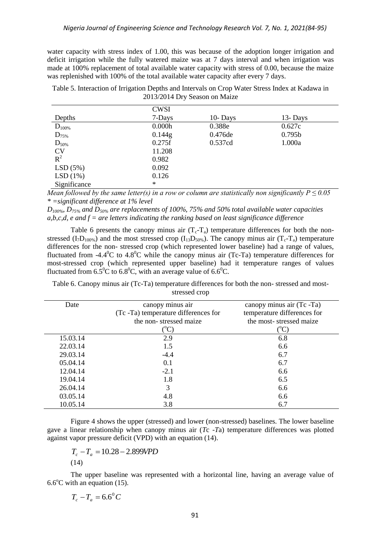water capacity with stress index of 1.00, this was because of the adoption longer irrigation and deficit irrigation while the fully watered maize was at 7 days interval and when irrigation was made at 100% replacement of total available water capacity with stress of 0.00, because the maize was replenished with 100% of the total available water capacity after every 7 days.

Table 5. Interaction of Irrigation Depths and Intervals on Crop Water Stress Index at Kadawa in 2013/2014 Dry Season on Maize

|              | <b>CWSI</b> |         |                    |
|--------------|-------------|---------|--------------------|
| Depths       | 7-Days      | 10-Days | 13-Days            |
| $D_{100\%}$  | 0.000h      | 0.388e  | 0.627c             |
| $D_{75\%}$   | 0.144g      | 0.476de | 0.795 <sub>b</sub> |
| $D_{50\%}$   | 0.275f      | 0.537cd | 1.000a             |
| <b>CV</b>    | 11.208      |         |                    |
| $R^2$        | 0.982       |         |                    |
| LSD(5%)      | 0.092       |         |                    |
| LSD(1%)      | 0.126       |         |                    |
| Significance | ∗           |         |                    |

*Mean followed by the same letter(s) in a row or column are statistically non significantly P*  $\leq 0.05$ *\* =significant difference at 1% level*

*D100%, D75% and D50% are replacements of 100%, 75% and 50% total available water capacities a,b,c,d, e and f = are letters indicating the ranking based on least significance difference*

Table 6 presents the canopy minus air  $(T_c-T_a)$  temperature differences for both the nonstressed (I<sub>7</sub>D<sub>100%</sub>) and the most stressed crop (I<sub>13</sub>D<sub>50%</sub>). The canopy minus air (T<sub>c</sub>-T<sub>a</sub>) temperature differences for the non- stressed crop (which represented lower baseline) had a range of values, fluctuated from -4.4 $^{0}$ C to 4.8 $^{0}$ C while the canopy minus air (Tc-Ta) temperature differences for most-stressed crop (which represented upper baseline) had it temperature ranges of values fluctuated from  $6.5^{\circ}$ C to  $6.8^{\circ}$ C, with an average value of  $6.6^{\circ}$ C.

Table 6. Canopy minus air (Tc-Ta) temperature differences for both the non- stressed and moststressed crop

| canopy minus air                     | canopy minus air (Tc -Ta)   |
|--------------------------------------|-----------------------------|
|                                      |                             |
| (Tc -Ta) temperature differences for | temperature differences for |
| the non-stressed maize               | the most-stressed maize     |
|                                      | $({}^oC)$                   |
| 2.9                                  | 6.8                         |
| 1.5                                  | 6.6                         |
| $-4.4$                               | 6.7                         |
| 0.1                                  | 6.7                         |
| $-2.1$                               | 6.6                         |
| 1.8                                  | 6.5                         |
| 3                                    | 6.6                         |
| 4.8                                  | 6.6                         |
| 3.8                                  | 6.7                         |
|                                      |                             |

Figure 4 shows the upper (stressed) and lower (non-stressed) baselines. The lower baseline gave a linear relationship when canopy minus air (*T*c -*T*a) temperature differences was plotted against vapor pressure deficit (VPD) with an equation (14).

$$
T_c - T_a = 10.28 - 2.899 VPD
$$
\n(14)

The upper baseline was represented with a horizontal line, having an average value of  $6.6^{\circ}$ C with an equation (15).

$$
T_c - T_a = 6.6^\circ C
$$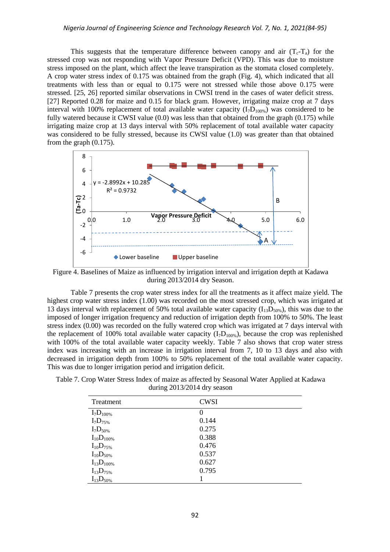#### *Nigeria Journal of Engineering Science and Technology Research Vol. 7, No. 1, 2021(84-95)*

This suggests that the temperature difference between canopy and air  $(T_c-T_a)$  for the stressed crop was not responding with Vapor Pressure Deficit (VPD). This was due to moisture stress imposed on the plant, which affect the leave transpiration as the stomata closed completely. A crop water stress index of 0.175 was obtained from the graph (Fig. 4), which indicated that all treatments with less than or equal to 0.175 were not stressed while those above 0.175 were stressed. [25, 26] reported similar observations in CWSI trend in the cases of water deficit stress. [27] Reported 0.28 for maize and 0.15 for black gram. However, irrigating maize crop at 7 days interval with 100% replacement of total available water capacity  $(I<sub>7</sub>D<sub>100%</sub>)$  was considered to be fully watered because it CWSI value (0.0) was less than that obtained from the graph (0.175) while irrigating maize crop at 13 days interval with 50% replacement of total available water capacity was considered to be fully stressed, because its CWSI value (1.0) was greater than that obtained from the graph (0.175).



Figure 4. Baselines of Maize as influenced by irrigation interval and irrigation depth at Kadawa during 2013/2014 dry Season.

Table 7 presents the crop water stress index for all the treatments as it affect maize yield. The highest crop water stress index (1.00) was recorded on the most stressed crop, which was irrigated at 13 days interval with replacement of 50% total available water capacity  $(I_{13}D_{50\%})$ , this was due to the imposed of longer irrigation frequency and reduction of irrigation depth from 100% to 50%. The least stress index (0.00) was recorded on the fully watered crop which was irrigated at 7 days interval with the replacement of 100% total available water capacity  $(I<sub>1</sub>D<sub>100%</sub>)$ , because the crop was replenished with 100% of the total available water capacity weekly. Table 7 also shows that crop water stress index was increasing with an increase in irrigation interval from 7, 10 to 13 days and also with decreased in irrigation depth from 100% to 50% replacement of the total available water capacity. This was due to longer irrigation period and irrigation deficit.

| Table 7. Crop Water Stress Index of maize as affected by Seasonal Water Applied at Kadawa |                               |  |  |
|-------------------------------------------------------------------------------------------|-------------------------------|--|--|
|                                                                                           | during $2013/2014$ dry season |  |  |

| Treatment         | <b>CWSI</b> |
|-------------------|-------------|
| $I_7D_{100\%}$    | $\Omega$    |
| $I_7D_{75\%}$     | 0.144       |
| $I_7D_{50\%}$     | 0.275       |
| $I_{10}D_{100\%}$ | 0.388       |
| $I_{10}D_{75\%}$  | 0.476       |
| $I_{10}D_{50\%}$  | 0.537       |
| $I_{13}D_{100\%}$ | 0.627       |
| $I_{13}D_{75\%}$  | 0.795       |
| $I_{13}D_{50\%}$  |             |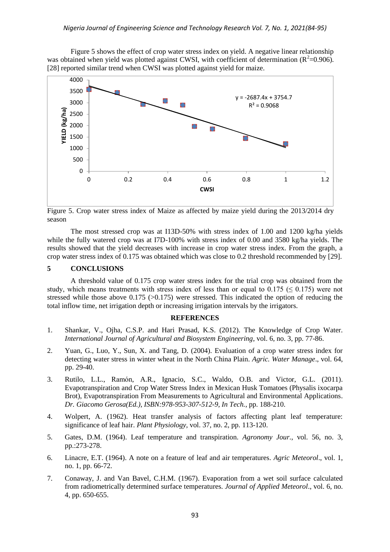Figure 5 shows the effect of crop water stress index on yield. A negative linear relationship was obtained when yield was plotted against CWSI, with coefficient of determination  $(R^2=0.906)$ . [28] reported similar trend when CWSI was plotted against yield for maize.



Figure 5. Crop water stress index of Maize as affected by maize yield during the 2013/2014 dry season

The most stressed crop was at I13D-50% with stress index of 1.00 and 1200 kg/ha yields while the fully watered crop was at I7D-100% with stress index of 0.00 and 3580 kg/ha yields. The results showed that the yield decreases with increase in crop water stress index. From the graph, a crop water stress index of 0.175 was obtained which was close to 0.2 threshold recommended by [29].

# **5 CONCLUSIONS**

A threshold value of 0.175 crop water stress index for the trial crop was obtained from the study, which means treatments with stress index of less than or equal to  $0.175 \le 0.175$ ) were not stressed while those above  $0.175$  ( $>0.175$ ) were stressed. This indicated the option of reducing the total inflow time, net irrigation depth or increasing irrigation intervals by the irrigators.

#### **REFERENCES**

- 1. Shankar, V., Ojha, C.S.P. and Hari Prasad, K.S. (2012). The Knowledge of Crop Water. *International Journal of Agricultural and Biosystem Engineering*, vol. 6, no. 3, pp. 77-86.
- 2. Yuan, G., Luo, Y., Sun, X. and Tang, D. (2004). Evaluation of a crop water stress index for detecting water stress in winter wheat in the North China Plain. *Agric. Water Manage*., vol. 64, pp. 29-40.
- 3. Rutilo, L.L., Ramón, A.R., Ignacio, S.C., Waldo, O.B. and Victor, G.L. (2011). Evapotranspiration and Crop Water Stress Index in Mexican Husk Tomatoes (Physalis ixocarpa Brot), Evapotranspiration From Measurements to Agricultural and Environmental Applications. *Dr. Giacomo Gerosa(Ed.), ISBN:978-953-307-512-9, In Tech.*, pp. 188-210.
- 4. Wolpert, A. (1962). Heat transfer analysis of factors affecting plant leaf temperature: significance of leaf hair. *Plant Physiology*, vol. 37, no. 2, pp. 113-120.
- 5. Gates, D.M. (1964). Leaf temperature and transpiration. *Agronomy Jour.*, vol. 56, no. 3, pp.:273-278.
- 6. Linacre, E.T. (1964). A note on a feature of leaf and air temperatures. *Agric Meteorol*., vol. 1, no. 1, pp. 66-72.
- 7. Conaway, J. and Van Bavel, C.H.M. (1967). Evaporation from a wet soil surface calculated from radiometrically determined surface temperatures. *Journal of Applied Meteorol*., vol. 6, no. 4, pp. 650-655.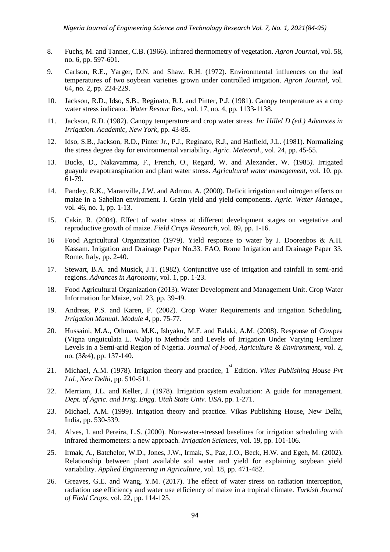- 8. Fuchs, M. and Tanner, C.B. (1966). Infrared thermometry of vegetation. *Agron Journal*, vol. 58, no. 6, pp. 597-601.
- 9. Carlson, R.E., Yarger, D.N. and Shaw, R.H. (1972). Environmental influences on the leaf temperatures of two soybean varieties grown under controlled irrigation. *Agron Journal,* vol. 64, no. 2, pp. 224-229.
- 10. Jackson, R.D., Idso, S.B., Reginato, R.J. and Pinter, P.J. (1981). Canopy temperature as a crop water stress indicator. *Water Resour Res*., vol. 17, no. 4, pp. 1133-1138.
- 11. Jackson, R.D. (1982). Canopy temperature and crop water stress*. In: Hillel D (ed.) Advances in Irrigation. Academic, New York*, pp. 43-85.
- 12. Idso, S.B., Jackson, R.D., Pinter Jr., P.J., Reginato, R.J., and Hatfield, J.L. (1981). Normalizing the stress degree day for environmental variability. *Agric. Meteorol*., vol. 24, pp. 45-55.
- 13. Bucks, D., Nakavamma, F., French, O., Regard, W. and Alexander, W. (1985*).* Irrigated guayule evapotranspiration and plant water stress. *Agricultural water management*, vol. 10. pp. 61-79.
- 14. Pandey, R.K., Maranville, J.W. and Admou, A. (2000). Deficit irrigation and nitrogen effects on maize in a Sahelian enviroment. I. Grain yield and yield components. *Agric. Water Manage*., vol. 46, no. 1, pp. 1-13.
- 15. Cakir, R. (2004). Effect of water stress at different development stages on vegetative and reproductive growth of maize. *Field Crops Research*, vol. 89, pp. 1-16.
- 16 Food Agricultural Organization (1979). Yield response to water by J. Doorenbos & A.H. Kassam. Irrigation and Drainage Paper No.33. FAO, Rome Irrigation and Drainage Paper 33. Rome, Italy, pp. 2-40.
- 17. Stewart, B.A. and Musick, J.T. **(**1982). Conjunctive use of irrigation and rainfall in semi-arid regions. *Advances in Agronomy*, vol. 1, pp. 1-23.
- 18. Food Agricultural Organization (2013). Water Development and Management Unit. Crop Water Information for Maize, vol. 23, pp. 39-49.
- 19. Andreas, P.S. and Karen, F. (2002). Crop Water Requirements and irrigation Scheduling. *Irrigation Manual. Module 4*, pp. 75-77.
- 20. Hussaini, M.A., Othman, M.K., Ishyaku, M.F. and Falaki, A.M. (2008). Response of Cowpea (Vigna unguiculata L. Walp) to Methods and Levels of Irrigation Under Varying Fertilizer Levels in a Semi-arid Region of Nigeria. *Journal of Food, Agriculture & Environment*, vol. 2, no. (3&4), pp. 137-140.
- 21. Michael, A.M. (1978). Irrigation theory and practice, 1<sup>st</sup> Edition. *Vikas Publishing House Pvt Ltd., New Delhi*, pp. 510-511.
- 22. Merriam, J.L. and Keller, J. (1978). Irrigation system evaluation: A guide for management. *Dept. of Agric. and Irrig. Engg. Utah State Univ. USA*, pp. 1-271.
- 23. Michael, A.M. (1999). Irrigation theory and practice. Vikas Publishing House, New Delhi, India, pp. 530-539.
- 24. Alves, I. and Pereira, L.S. (2000). Non-water-stressed baselines for irrigation scheduling with infrared thermometers: a new approach. *Irrigation Sciences*, vol. 19, pp. 101-106.
- 25. Irmak, A., Batchelor, W.D., Jones, J.W., Irmak, S., Paz, J.O., Beck, H.W. and Egeh, M. (2002). Relationship between plant available soil water and yield for explaining soybean yield variability. *Applied Engineering in Agriculture*, vol. 18, pp. 471-482.
- 26. Greaves, G.E. and Wang, Y.M. (2017). The effect of water stress on radiation interception, radiation use efficiency and water use efficiency of maize in a tropical climate. *Turkish Journal of Field Crops*, vol. 22, pp. 114-125.